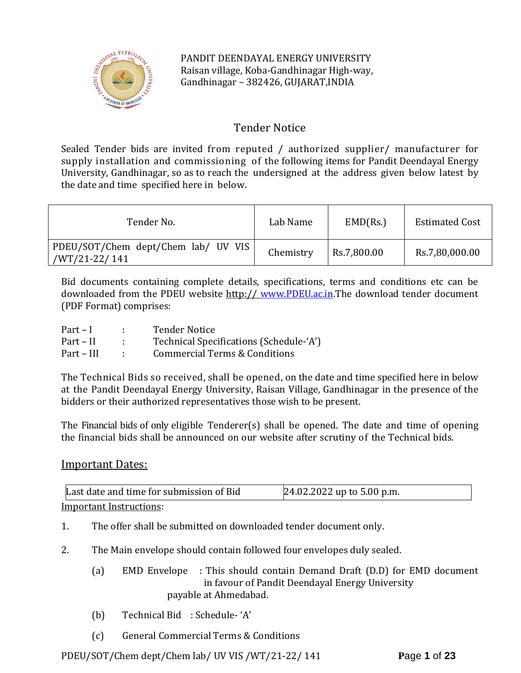

PANDIT DEENDAYAL ENERGY UNIVERSITY Raisan village, Koba-Gandhinagar High-way, Gandhinagar – 382426, GUJARAT,INDIA

# Tender Notice

Sealed Tender bids are invited from reputed / authorized supplier/ manufacturer for supply installation and commissioning of the following items for Pandit Deendayal Energy University, Gandhinagar, so as to reach the undersigned at the address given below latest by the date and time specified here in below.

| Tender No.                                           | Lab Name  | EMD(Rs.)    | <b>Estimated Cost</b> |
|------------------------------------------------------|-----------|-------------|-----------------------|
| PDEU/SOT/Chem dept/Chem lab/ UV VIS<br>/WT/21-22/141 | Chemistry | Rs.7,800.00 | Rs.7,80,000.00        |

Bid documents containing complete details, specifications, terms and conditions etc can be downloaded from the PDEU website http:// [www.PDEU.ac.in.](http://www.pdpu.ac.in/)The download tender document (PDF Format) comprises:

| $Part-I$   | <b>Tender Notice</b>                    |
|------------|-----------------------------------------|
| Part – II  | Technical Specifications (Schedule-'A') |
| Part – III | Commercial Terms & Conditions           |

The Technical Bids so received, shall be opened, on the date and time specified here in below at the Pandit Deendayal Energy University, Raisan Village, Gandhinagar in the presence of the bidders or their authorized representatives those wish to be present.

The Financial bids of only eligible Tenderer(s) shall be opened. The date and time of opening the financial bids shall be announced on our website after scrutiny of the Technical bids.

# Important Dates:

| Last date and time for submission of Bid | 24.02.2022 up to 5.00 p.m. |
|------------------------------------------|----------------------------|
| Imnortant Instructions:                  |                            |

Important Instructions:

- 1. The offer shall be submitted on downloaded tender document only.
- 2. The Main envelope should contain followed four envelopes duly sealed.
	- (a) EMD Envelope : This should contain Demand Draft (D.D) for EMD document in favour of Pandit Deendayal Energy University payable at Ahmedabad.
	- (b) Technical Bid : Schedule- 'A'
	- (c) General Commercial Terms & Conditions

PDEU/SOT/Chem dept/Chem lab/ UV VIS /WT/21-22/ 141 **P**age **1** of **23**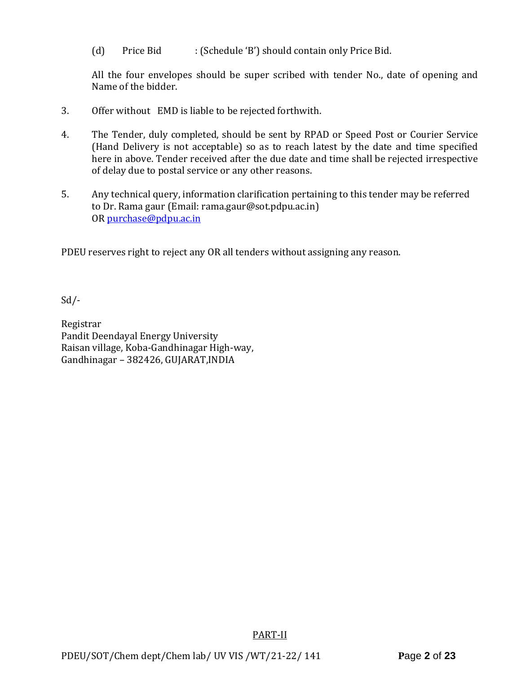(d) Price Bid : (Schedule 'B') should contain only Price Bid.

All the four envelopes should be super scribed with tender No., date of opening and Name of the bidder.

- 3. Offer without EMD is liable to be rejected forthwith.
- 4. The Tender, duly completed, should be sent by RPAD or Speed Post or Courier Service (Hand Delivery is not acceptable) so as to reach latest by the date and time specified here in above. Tender received after the due date and time shall be rejected irrespective of delay due to postal service or any other reasons.
- 5. Any technical query, information clarification pertaining to this tender may be referred to Dr. Rama gaur (Email: rama.gaur@sot.pdpu.ac.in) OR [purchase@pdpu.ac.in](mailto:purchase@pdpu.ac.in)

PDEU reserves right to reject any OR all tenders without assigning any reason.

Sd/-

Registrar Pandit Deendayal Energy University Raisan village, Koba-Gandhinagar High-way, Gandhinagar – 382426, GUJARAT,INDIA

PART-II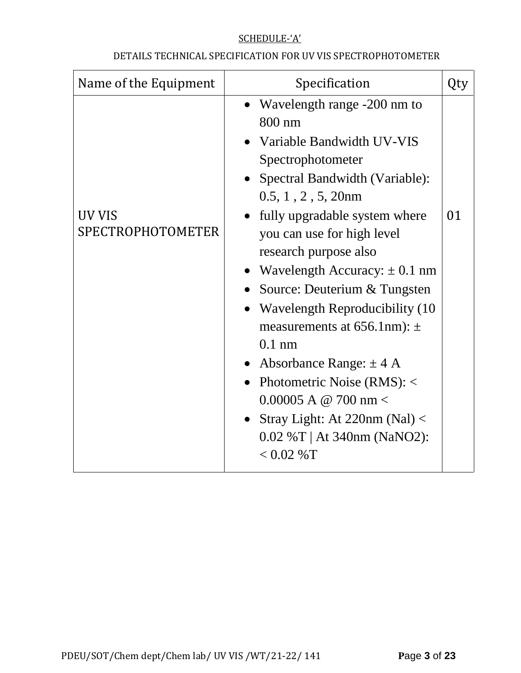# SCHEDULE-'A'

# DETAILS TECHNICAL SPECIFICATION FOR UV VIS SPECTROPHOTOMETER

| Name of the Equipment       | Specification                                                                                                                                                                                                                                                                                                                                                                                                                                                                                                                                                                                                                |    |
|-----------------------------|------------------------------------------------------------------------------------------------------------------------------------------------------------------------------------------------------------------------------------------------------------------------------------------------------------------------------------------------------------------------------------------------------------------------------------------------------------------------------------------------------------------------------------------------------------------------------------------------------------------------------|----|
| UV VIS<br>SPECTROPHOTOMETER | Wavelength range -200 nm to<br>$\bullet$<br>800 nm<br>Variable Bandwidth UV-VIS<br>Spectrophotometer<br>• Spectral Bandwidth (Variable):<br>$0.5, 1, 2, 5, 20$ nm<br>fully upgradable system where<br>you can use for high level<br>research purpose also<br>• Wavelength Accuracy: $\pm$ 0.1 nm<br>Source: Deuterium & Tungsten<br>• Wavelength Reproducibility (10)<br>measurements at $656.1$ nm): $\pm$<br>$0.1$ nm<br>• Absorbance Range: $\pm$ 4 A<br>• Photometric Noise $(RMS):$ <<br>$0.00005$ A @ 700 nm <<br>Stray Light: At 220nm (Nal) $\langle$<br>$\bullet$<br>$0.02 \%T$   At 340nm (NaNO2):<br>$< 0.02 %$ T | 01 |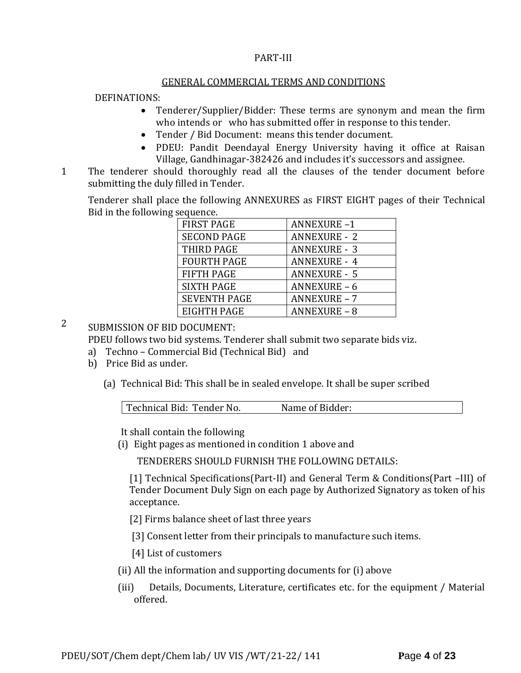#### PART-III

#### GENERAL COMMERCIAL TERMS AND CONDITIONS

#### DEFINATIONS:

- Tenderer/Supplier/Bidder: These terms are synonym and mean the firm who intends or who has submitted offer in response to this tender.
- Tender / Bid Document: means this tender document.
- PDEU: Pandit Deendayal Energy University having it office at Raisan Village, Gandhinagar-382426 and includes it's successors and assignee.
- 11. The tenderer should thoroughly read all the clauses of the tender document before submitting the duly filled in Tender.

Tenderer shall place the following ANNEXURES as FIRST EIGHT pages of their Technical Bid in the following sequence.

| <b>FIRST PAGE</b>   | <b>ANNEXURE-1</b>   |
|---------------------|---------------------|
| <b>SECOND PAGE</b>  | <b>ANNEXURE - 2</b> |
| THIRD PAGE          | <b>ANNEXURE - 3</b> |
| <b>FOURTH PAGE</b>  | <b>ANNEXURE - 4</b> |
| <b>FIFTH PAGE</b>   | <b>ANNEXURE - 5</b> |
| <b>SIXTH PAGE</b>   | <b>ANNEXURE - 6</b> |
| <b>SEVENTH PAGE</b> | <b>ANNEXURE - 7</b> |
| <b>EIGHTH PAGE</b>  | <b>ANNEXURE - 8</b> |

2 SUBMISSION OF BID DOCUMENT:

PDEU follows two bid systems. Tenderer shall submit two separate bids viz.

- a) Techno Commercial Bid (Technical Bid) and
- b) Price Bid as under.
	- (a) Technical Bid: This shall be in sealed envelope. It shall be super scribed

| Technical Bid: Tender No. | Name of Bidder: |  |
|---------------------------|-----------------|--|
|                           |                 |  |

It shall contain the following

(i) Eight pages as mentioned in condition 1 above and

TENDERERS SHOULD FURNISH THE FOLLOWING DETAILS:

[1] Technical Specifications(Part-II) and General Term & Conditions(Part –III) of Tender Document Duly Sign on each page by Authorized Signatory as token of his acceptance.

[2] Firms balance sheet of last three years

[3] Consent letter from their principals to manufacture such items.

[4] List of customers

- (ii) All the information and supporting documents for (i) above
- (iii) Details, Documents, Literature, certificates etc. for the equipment / Material offered.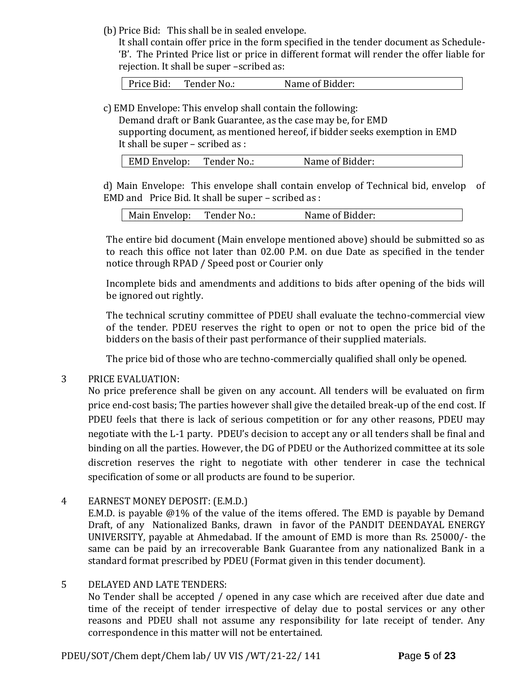(b) Price Bid: This shall be in sealed envelope.

It shall contain offer price in the form specified in the tender document as Schedule- 'B'. The Printed Price list or price in different format will render the offer liable for rejection. It shall be super –scribed as:

Price Bid: Tender No.: Name of Bidder:

c) EMD Envelope: This envelop shall contain the following:

Demand draft or Bank Guarantee, as the case may be, for EMD supporting document, as mentioned hereof, if bidder seeks exemption in EMD It shall be super – scribed as :

| EMD Envelop: | Tender No.: | Name of Bidder: |
|--------------|-------------|-----------------|
|              |             |                 |

d) Main Envelope: This envelope shall contain envelop of Technical bid, envelop of EMD and Price Bid. It shall be super – scribed as :

| Main Envelop: | Tender No.: | Name of Bidder: |
|---------------|-------------|-----------------|
|---------------|-------------|-----------------|

The entire bid document (Main envelope mentioned above) should be submitted so as to reach this office not later than 02.00 P.M. on due Date as specified in the tender notice through RPAD / Speed post or Courier only

Incomplete bids and amendments and additions to bids after opening of the bids will be ignored out rightly.

The technical scrutiny committee of PDEU shall evaluate the techno-commercial view of the tender. PDEU reserves the right to open or not to open the price bid of the bidders on the basis of their past performance of their supplied materials.

The price bid of those who are techno-commercially qualified shall only be opened.

# 3 PRICE EVALUATION:

No price preference shall be given on any account. All tenders will be evaluated on firm price end-cost basis; The parties however shall give the detailed break-up of the end cost. If PDEU feels that there is lack of serious competition or for any other reasons, PDEU may negotiate with the L-1 party. PDEU's decision to accept any or all tenders shall be final and binding on all the parties. However, the DG of PDEU or the Authorized committee at its sole discretion reserves the right to negotiate with other tenderer in case the technical specification of some or all products are found to be superior.

4 EARNEST MONEY DEPOSIT: (E.M.D.)

E.M.D. is payable @1% of the value of the items offered. The EMD is payable by Demand Draft, of any Nationalized Banks, drawn in favor of the PANDIT DEENDAYAL ENERGY UNIVERSITY, payable at Ahmedabad. If the amount of EMD is more than Rs. 25000/- the same can be paid by an irrecoverable Bank Guarantee from any nationalized Bank in a standard format prescribed by PDEU (Format given in this tender document).

# 5 DELAYED AND LATE TENDERS:

No Tender shall be accepted / opened in any case which are received after due date and time of the receipt of tender irrespective of delay due to postal services or any other reasons and PDEU shall not assume any responsibility for late receipt of tender. Any correspondence in this matter will not be entertained.

PDEU/SOT/Chem dept/Chem lab/ UV VIS /WT/21-22/ 141 **P**age **5** of **23**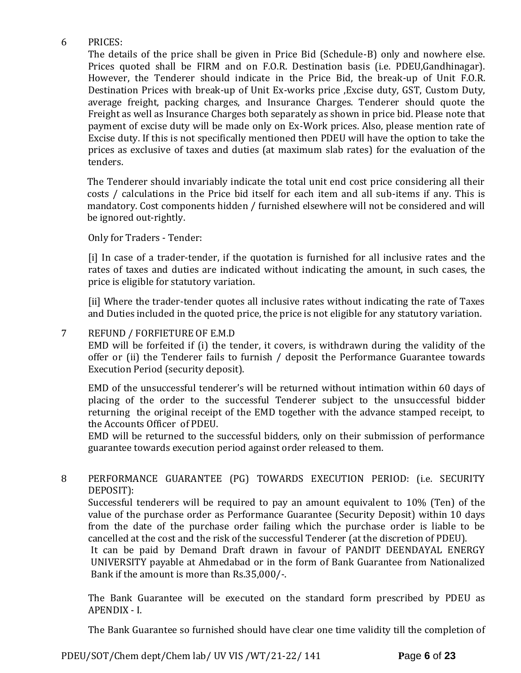# 6 PRICES:

The details of the price shall be given in Price Bid (Schedule-B) only and nowhere else. Prices quoted shall be FIRM and on F.O.R. Destination basis (i.e. PDEU,Gandhinagar). However, the Tenderer should indicate in the Price Bid, the break-up of Unit F.O.R. Destination Prices with break-up of Unit Ex-works price ,Excise duty, GST, Custom Duty, average freight, packing charges, and Insurance Charges. Tenderer should quote the Freight as well as Insurance Charges both separately as shown in price bid. Please note that payment of excise duty will be made only on Ex-Work prices. Also, please mention rate of Excise duty. If this is not specifically mentioned then PDEU will have the option to take the prices as exclusive of taxes and duties (at maximum slab rates) for the evaluation of the tenders.

The Tenderer should invariably indicate the total unit end cost price considering all their costs / calculations in the Price bid itself for each item and all sub-items if any. This is mandatory. Cost components hidden / furnished elsewhere will not be considered and will be ignored out-rightly.

Only for Traders - Tender:

[i] In case of a trader-tender, if the quotation is furnished for all inclusive rates and the rates of taxes and duties are indicated without indicating the amount, in such cases, the price is eligible for statutory variation.

[ii] Where the trader-tender quotes all inclusive rates without indicating the rate of Taxes and Duties included in the quoted price, the price is not eligible for any statutory variation.

# 7 REFUND / FORFIETURE OF E.M.D

EMD will be forfeited if (i) the tender, it covers, is withdrawn during the validity of the offer or (ii) the Tenderer fails to furnish / deposit the Performance Guarantee towards Execution Period (security deposit).

EMD of the unsuccessful tenderer's will be returned without intimation within 60 days of placing of the order to the successful Tenderer subject to the unsuccessful bidder returning the original receipt of the EMD together with the advance stamped receipt, to the Accounts Officer of PDEU.

EMD will be returned to the successful bidders, only on their submission of performance guarantee towards execution period against order released to them.

# 8 PERFORMANCE GUARANTEE (PG) TOWARDS EXECUTION PERIOD: (i.e. SECURITY DEPOSIT):

Successful tenderers will be required to pay an amount equivalent to 10% (Ten) of the value of the purchase order as Performance Guarantee (Security Deposit) within 10 days from the date of the purchase order failing which the purchase order is liable to be cancelled at the cost and the risk of the successful Tenderer (at the discretion of PDEU).

It can be paid by Demand Draft drawn in favour of PANDIT DEENDAYAL ENERGY UNIVERSITY payable at Ahmedabad or in the form of Bank Guarantee from Nationalized Bank if the amount is more than Rs.35,000/-.

The Bank Guarantee will be executed on the standard form prescribed by PDEU as APENDIX - I.

The Bank Guarantee so furnished should have clear one time validity till the completion of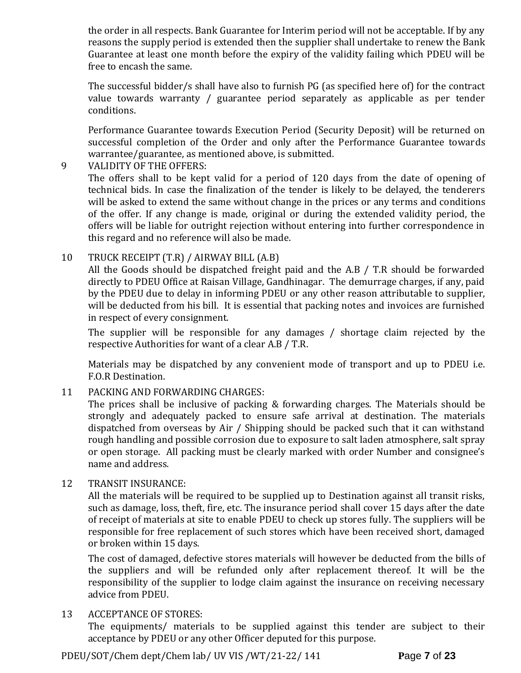the order in all respects. Bank Guarantee for Interim period will not be acceptable. If by any reasons the supply period is extended then the supplier shall undertake to renew the Bank Guarantee at least one month before the expiry of the validity failing which PDEU will be free to encash the same.

The successful bidder/s shall have also to furnish PG (as specified here of) for the contract value towards warranty / guarantee period separately as applicable as per tender conditions.

Performance Guarantee towards Execution Period (Security Deposit) will be returned on successful completion of the Order and only after the Performance Guarantee towards warrantee/guarantee, as mentioned above, is submitted.

# 9 VALIDITY OF THE OFFERS:

The offers shall to be kept valid for a period of 120 days from the date of opening of technical bids. In case the finalization of the tender is likely to be delayed, the tenderers will be asked to extend the same without change in the prices or any terms and conditions of the offer. If any change is made, original or during the extended validity period, the offers will be liable for outright rejection without entering into further correspondence in this regard and no reference will also be made.

# 10 TRUCK RECEIPT (T.R) / AIRWAY BILL (A.B)

All the Goods should be dispatched freight paid and the A.B / T.R should be forwarded directly to PDEU Office at Raisan Village, Gandhinagar. The demurrage charges, if any, paid by the PDEU due to delay in informing PDEU or any other reason attributable to supplier, will be deducted from his bill. It is essential that packing notes and invoices are furnished in respect of every consignment.

The supplier will be responsible for any damages / shortage claim rejected by the respective Authorities for want of a clear A.B / T.R.

Materials may be dispatched by any convenient mode of transport and up to PDEU i.e. F.O.R Destination.

# 11 PACKING AND FORWARDING CHARGES:

The prices shall be inclusive of packing & forwarding charges. The Materials should be strongly and adequately packed to ensure safe arrival at destination. The materials dispatched from overseas by Air / Shipping should be packed such that it can withstand rough handling and possible corrosion due to exposure to salt laden atmosphere, salt spray or open storage. All packing must be clearly marked with order Number and consignee's name and address.

# 12 TRANSIT INSURANCE:

All the materials will be required to be supplied up to Destination against all transit risks, such as damage, loss, theft, fire, etc. The insurance period shall cover 15 days after the date of receipt of materials at site to enable PDEU to check up stores fully. The suppliers will be responsible for free replacement of such stores which have been received short, damaged or broken within 15 days.

The cost of damaged, defective stores materials will however be deducted from the bills of the suppliers and will be refunded only after replacement thereof. It will be the responsibility of the supplier to lodge claim against the insurance on receiving necessary advice from PDEU.

# 13 ACCEPTANCE OF STORES:

The equipments/ materials to be supplied against this tender are subject to their acceptance by PDEU or any other Officer deputed for this purpose.

PDEU/SOT/Chem dept/Chem lab/ UV VIS /WT/21-22/ 141 **P**age **7** of **23**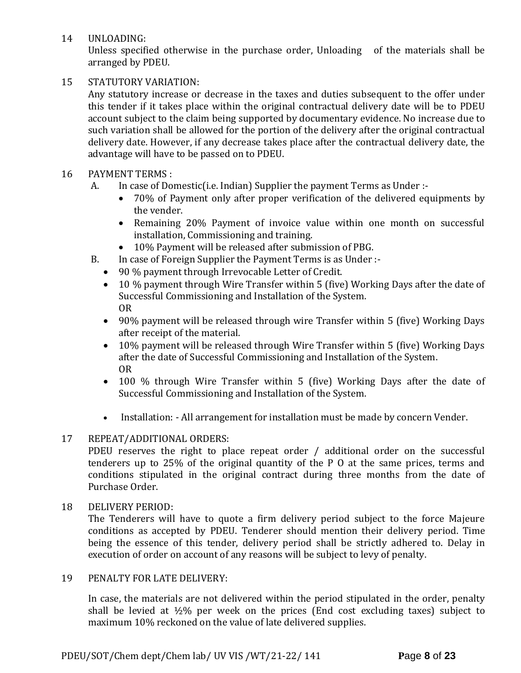14 UNLOADING:

Unless specified otherwise in the purchase order, Unloading of the materials shall be arranged by PDEU.

# 15 STATUTORY VARIATION:

Any statutory increase or decrease in the taxes and duties subsequent to the offer under this tender if it takes place within the original contractual delivery date will be to PDEU account subject to the claim being supported by documentary evidence. No increase due to such variation shall be allowed for the portion of the delivery after the original contractual delivery date. However, if any decrease takes place after the contractual delivery date, the advantage will have to be passed on to PDEU.

# 16 PAYMENT TERMS :

- A. In case of Domestic(i.e. Indian) Supplier the payment Terms as Under :-
	- 70% of Payment only after proper verification of the delivered equipments by the vender.
	- Remaining 20% Payment of invoice value within one month on successful installation, Commissioning and training.
	- 10% Payment will be released after submission of PBG.
- B. In case of Foreign Supplier the Payment Terms is as Under :-
	- 90 % payment through Irrevocable Letter of Credit.
	- 10 % payment through Wire Transfer within 5 (five) Working Days after the date of Successful Commissioning and Installation of the System. OR
	- 90% payment will be released through wire Transfer within 5 (five) Working Days after receipt of the material.
	- 10% payment will be released through Wire Transfer within 5 (five) Working Days after the date of Successful Commissioning and Installation of the System. OR
	- 100 % through Wire Transfer within 5 (five) Working Days after the date of Successful Commissioning and Installation of the System.
	- Installation: All arrangement for installation must be made by concern Vender.

# 17 REPEAT/ADDITIONAL ORDERS:

PDEU reserves the right to place repeat order / additional order on the successful tenderers up to 25% of the original quantity of the P O at the same prices, terms and conditions stipulated in the original contract during three months from the date of Purchase Order.

# 18 DELIVERY PERIOD:

The Tenderers will have to quote a firm delivery period subject to the force Majeure conditions as accepted by PDEU. Tenderer should mention their delivery period. Time being the essence of this tender, delivery period shall be strictly adhered to. Delay in execution of order on account of any reasons will be subject to levy of penalty.

# 19 PENALTY FOR LATE DELIVERY:

In case, the materials are not delivered within the period stipulated in the order, penalty shall be levied at  $\frac{1}{2}\%$  per week on the prices (End cost excluding taxes) subject to maximum 10% reckoned on the value of late delivered supplies.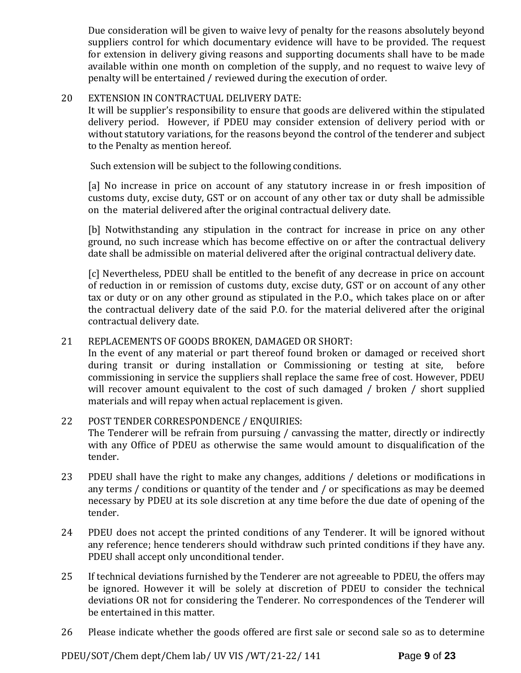Due consideration will be given to waive levy of penalty for the reasons absolutely beyond suppliers control for which documentary evidence will have to be provided. The request for extension in delivery giving reasons and supporting documents shall have to be made available within one month on completion of the supply, and no request to waive levy of penalty will be entertained / reviewed during the execution of order.

# 20 EXTENSION IN CONTRACTUAL DELIVERY DATE:

It will be supplier's responsibility to ensure that goods are delivered within the stipulated delivery period. However, if PDEU may consider extension of delivery period with or without statutory variations, for the reasons beyond the control of the tenderer and subject to the Penalty as mention hereof.

Such extension will be subject to the following conditions.

[a] No increase in price on account of any statutory increase in or fresh imposition of customs duty, excise duty, GST or on account of any other tax or duty shall be admissible on the material delivered after the original contractual delivery date.

[b] Notwithstanding any stipulation in the contract for increase in price on any other ground, no such increase which has become effective on or after the contractual delivery date shall be admissible on material delivered after the original contractual delivery date.

[c] Nevertheless, PDEU shall be entitled to the benefit of any decrease in price on account of reduction in or remission of customs duty, excise duty, GST or on account of any other tax or duty or on any other ground as stipulated in the P.O., which takes place on or after the contractual delivery date of the said P.O. for the material delivered after the original contractual delivery date.

# 21 REPLACEMENTS OF GOODS BROKEN, DAMAGED OR SHORT:

In the event of any material or part thereof found broken or damaged or received short during transit or during installation or Commissioning or testing at site, before commissioning in service the suppliers shall replace the same free of cost. However, PDEU will recover amount equivalent to the cost of such damaged / broken / short supplied materials and will repay when actual replacement is given.

# 22 POST TENDER CORRESPONDENCE / ENQUIRIES:

The Tenderer will be refrain from pursuing / canvassing the matter, directly or indirectly with any Office of PDEU as otherwise the same would amount to disqualification of the tender.

- 23 PDEU shall have the right to make any changes, additions / deletions or modifications in any terms / conditions or quantity of the tender and / or specifications as may be deemed necessary by PDEU at its sole discretion at any time before the due date of opening of the tender.
- 24 PDEU does not accept the printed conditions of any Tenderer. It will be ignored without any reference; hence tenderers should withdraw such printed conditions if they have any. PDEU shall accept only unconditional tender.
- 25 If technical deviations furnished by the Tenderer are not agreeable to PDEU, the offers may be ignored. However it will be solely at discretion of PDEU to consider the technical deviations OR not for considering the Tenderer. No correspondences of the Tenderer will be entertained in this matter.
- 26 Please indicate whether the goods offered are first sale or second sale so as to determine

PDEU/SOT/Chem dept/Chem lab/ UV VIS /WT/21-22/ 141 **P**age **9** of **23**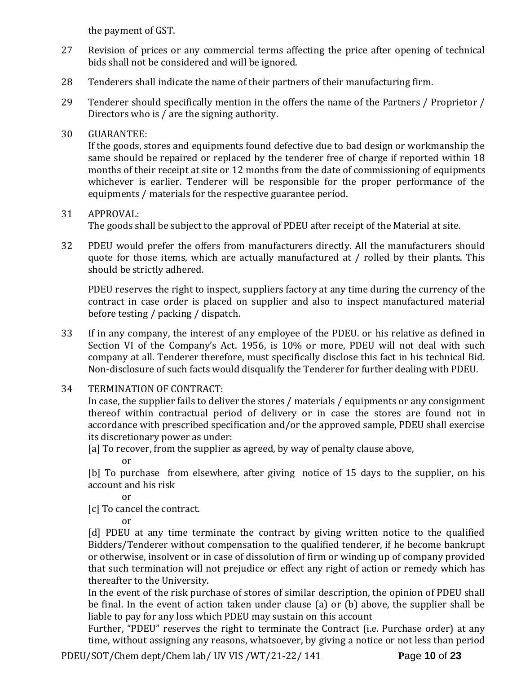the payment of GST.

- 27 Revision of prices or any commercial terms affecting the price after opening of technical bids shall not be considered and will be ignored.
- 28 Tenderers shall indicate the name of their partners of their manufacturing firm.
- 29 Tenderer should specifically mention in the offers the name of the Partners / Proprietor / Directors who is / are the signing authority.

# 30 GUARANTEE:

If the goods, stores and equipments found defective due to bad design or workmanship the same should be repaired or replaced by the tenderer free of charge if reported within 18 months of their receipt at site or 12 months from the date of commissioning of equipments whichever is earlier. Tenderer will be responsible for the proper performance of the equipments / materials for the respective guarantee period.

# 31 APPROVAL:

The goods shall be subject to the approval of PDEU after receipt of the Material at site.

32 PDEU would prefer the offers from manufacturers directly. All the manufacturers should quote for those items, which are actually manufactured at / rolled by their plants. This should be strictly adhered.

PDEU reserves the right to inspect, suppliers factory at any time during the currency of the contract in case order is placed on supplier and also to inspect manufactured material before testing / packing / dispatch.

- 33 If in any company, the interest of any employee of the PDEU. or his relative as defined in Section VI of the Company's Act. 1956, is 10% or more, PDEU will not deal with such company at all. Tenderer therefore, must specifically disclose this fact in his technical Bid. Non-disclosure of such facts would disqualify the Tenderer for further dealing with PDEU.
- 34 TERMINATION OF CONTRACT:

In case, the supplier fails to deliver the stores / materials / equipments or any consignment thereof within contractual period of delivery or in case the stores are found not in accordance with prescribed specification and/or the approved sample, PDEU shall exercise its discretionary power as under:

[a] To recover, from the supplier as agreed, by way of penalty clause above,

or

[b] To purchase from elsewhere, after giving notice of 15 days to the supplier, on his account and his risk

or

[c] To cancel the contract.

or

[d] PDEU at any time terminate the contract by giving written notice to the qualified Bidders/Tenderer without compensation to the qualified tenderer, if he become bankrupt or otherwise, insolvent or in case of dissolution of firm or winding up of company provided that such termination will not prejudice or effect any right of action or remedy which has thereafter to the University.

In the event of the risk purchase of stores of similar description, the opinion of PDEU shall be final. In the event of action taken under clause (a) or (b) above, the supplier shall be liable to pay for any loss which PDEU may sustain on this account

Further, "PDEU" reserves the right to terminate the Contract (i.e. Purchase order) at any time, without assigning any reasons, whatsoever, by giving a notice or not less than period

PDEU/SOT/Chem dept/Chem lab/ UV VIS /WT/21-22/ 141 **P**age **10** of **23**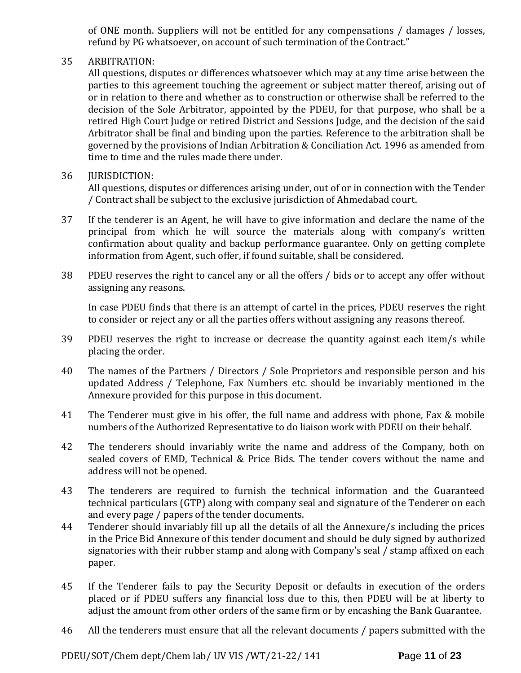of ONE month. Suppliers will not be entitled for any compensations / damages / losses, refund by PG whatsoever, on account of such termination of the Contract."

# 35 ARBITRATION:

All questions, disputes or differences whatsoever which may at any time arise between the parties to this agreement touching the agreement or subject matter thereof, arising out of or in relation to there and whether as to construction or otherwise shall be referred to the decision of the Sole Arbitrator, appointed by the PDEU, for that purpose, who shall be a retired High Court Judge or retired District and Sessions Judge, and the decision of the said Arbitrator shall be final and binding upon the parties. Reference to the arbitration shall be governed by the provisions of Indian Arbitration & Conciliation Act. 1996 as amended from time to time and the rules made there under.

# 36 JURISDICTION:

All questions, disputes or differences arising under, out of or in connection with the Tender / Contract shall be subject to the exclusive jurisdiction of Ahmedabad court.

- 37 If the tenderer is an Agent, he will have to give information and declare the name of the principal from which he will source the materials along with company's written confirmation about quality and backup performance guarantee. Only on getting complete information from Agent, such offer, if found suitable, shall be considered.
- 38 PDEU reserves the right to cancel any or all the offers / bids or to accept any offer without assigning any reasons.

In case PDEU finds that there is an attempt of cartel in the prices, PDEU reserves the right to consider or reject any or all the parties offers without assigning any reasons thereof.

- 39 PDEU reserves the right to increase or decrease the quantity against each item/s while placing the order.
- 40 The names of the Partners / Directors / Sole Proprietors and responsible person and his updated Address / Telephone, Fax Numbers etc. should be invariably mentioned in the Annexure provided for this purpose in this document.
- 41 The Tenderer must give in his offer, the full name and address with phone, Fax & mobile numbers of the Authorized Representative to do liaison work with PDEU on their behalf.
- 42 The tenderers should invariably write the name and address of the Company, both on sealed covers of EMD, Technical & Price Bids. The tender covers without the name and address will not be opened.
- 43 The tenderers are required to furnish the technical information and the Guaranteed technical particulars (GTP) along with company seal and signature of the Tenderer on each and every page / papers of the tender documents.
- 44 Tenderer should invariably fill up all the details of all the Annexure/s including the prices in the Price Bid Annexure of this tender document and should be duly signed by authorized signatories with their rubber stamp and along with Company's seal / stamp affixed on each paper.
- 45 If the Tenderer fails to pay the Security Deposit or defaults in execution of the orders placed or if PDEU suffers any financial loss due to this, then PDEU will be at liberty to adjust the amount from other orders of the same firm or by encashing the Bank Guarantee.
- 46 All the tenderers must ensure that all the relevant documents / papers submitted with the

PDEU/SOT/Chem dept/Chem lab/ UV VIS /WT/21-22/ 141 **P**age **11** of **23**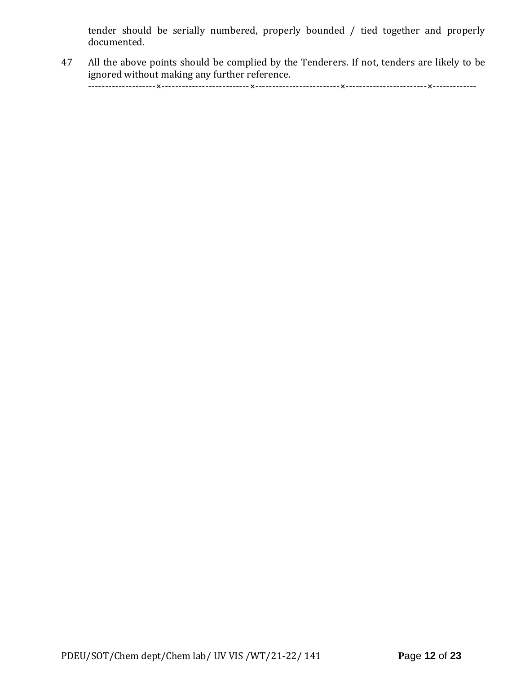tender should be serially numbered, properly bounded / tied together and properly documented.

47 All the above points should be complied by the Tenderers. If not, tenders are likely to be ignored without making any further reference.

--------------------×--------------------------×-------------------------×------------------------×-------------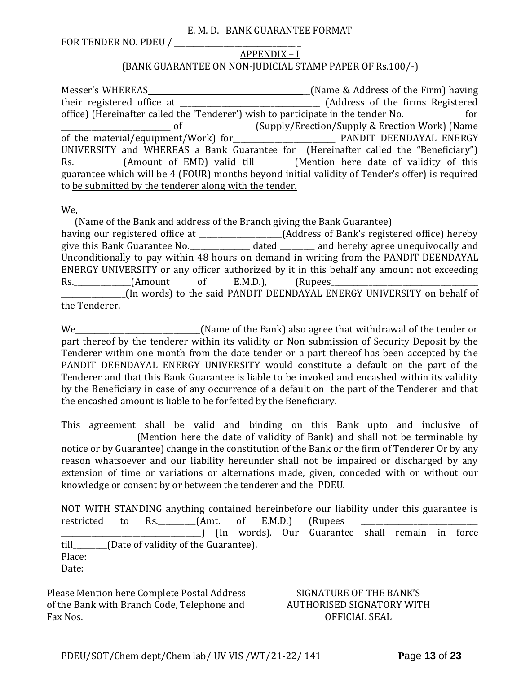#### E. M. D. BANK GUARANTEE FORMAT

FOR TENDER NO. PDEU / \_\_\_\_\_\_\_\_\_\_\_\_\_\_\_\_\_\_\_\_\_\_\_\_\_\_\_\_\_\_\_\_ \_

# APPENDIX – I (BANK GUARANTEE ON NON-JUDICIAL STAMP PAPER OF Rs.100/-)

Messer's WHEREAS \_\_\_\_\_\_\_\_\_\_\_\_\_\_\_\_\_\_\_\_\_\_\_\_\_\_\_\_\_\_\_\_\_\_\_\_\_\_\_\_\_\_(Name & Address of the Firm) having their registered office at \_\_\_\_\_\_\_\_\_\_\_\_\_\_\_\_\_\_\_\_\_\_\_\_\_\_\_\_\_\_\_\_\_\_\_\_\_ (Address of the firms Registered office) (Hereinafter called the 'Tenderer') wish to participate in the tender No. \_\_\_\_\_\_\_\_\_\_\_\_\_\_\_ for \_\_\_\_\_\_\_\_\_\_\_\_\_\_\_\_\_\_\_\_\_\_\_\_\_\_\_\_\_ of (Supply/Erection/Supply & Erection Work) (Name of the material/equipment/Work) for\_\_\_\_\_\_\_\_\_\_\_\_\_\_\_\_\_\_\_\_\_\_\_\_\_\_\_ PANDIT DEENDAYAL ENERGY UNIVERSITY and WHEREAS a Bank Guarantee for (Hereinafter called the "Beneficiary") Rs. \_\_\_\_\_\_\_\_\_\_(Amount of EMD) valid till \_\_\_\_\_\_(Mention here date of validity of this guarantee which will be 4 (FOUR) months beyond initial validity of Tender's offer) is required to be submitted by the tenderer along with the tender.

We,

 (Name of the Bank and address of the Branch giving the Bank Guarantee) having our registered office at \_\_\_\_\_\_\_\_\_\_\_\_\_\_\_\_\_\_\_\_\_\_(Address of Bank's registered office) hereby give this Bank Guarantee No.\_\_\_\_\_\_\_\_\_\_\_\_\_\_\_\_ dated \_\_\_\_\_\_\_\_\_ and hereby agree unequivocally and Unconditionally to pay within 48 hours on demand in writing from the PANDIT DEENDAYAL ENERGY UNIVERSITY or any officer authorized by it in this behalf any amount not exceeding Rs. (Amount of E.M.D.), (Rupees \_\_\_\_\_\_\_\_\_\_\_\_\_\_\_\_\_(In words) to the said PANDIT DEENDAYAL ENERGY UNIVERSITY on behalf of the Tenderer.

We\_\_\_\_\_\_\_\_\_\_\_\_\_\_\_\_\_\_\_\_\_\_\_\_\_\_\_\_\_\_\_\_\_(Name of the Bank) also agree that withdrawal of the tender or part thereof by the tenderer within its validity or Non submission of Security Deposit by the Tenderer within one month from the date tender or a part thereof has been accepted by the PANDIT DEENDAYAL ENERGY UNIVERSITY would constitute a default on the part of the Tenderer and that this Bank Guarantee is liable to be invoked and encashed within its validity by the Beneficiary in case of any occurrence of a default on the part of the Tenderer and that the encashed amount is liable to be forfeited by the Beneficiary.

This agreement shall be valid and binding on this Bank upto and inclusive of (Mention here the date of validity of Bank) and shall not be terminable by notice or by Guarantee) change in the constitution of the Bank or the firm of Tenderer Or by any reason whatsoever and our liability hereunder shall not be impaired or discharged by any extension of time or variations or alternations made, given, conceded with or without our knowledge or consent by or between the tenderer and the PDEU.

NOT WITH STANDING anything contained hereinbefore our liability under this guarantee is restricted to Rs.  $(Amt. of E.M.D.)$  (Rupees \_\_\_\_\_\_\_\_\_\_\_\_\_\_\_\_\_\_\_\_\_\_\_\_\_\_\_\_\_\_\_\_\_\_\_\_\_) (In words). Our Guarantee shall remain in force till\_\_\_\_\_\_\_\_\_(Date of validity of the Guarantee). Place: Date:

Please Mention here Complete Postal Address of the Bank with Branch Code, Telephone and Fax Nos.

# SIGNATURE OF THE BANK'S AUTHORISED SIGNATORY WITH OFFICIAL SEAL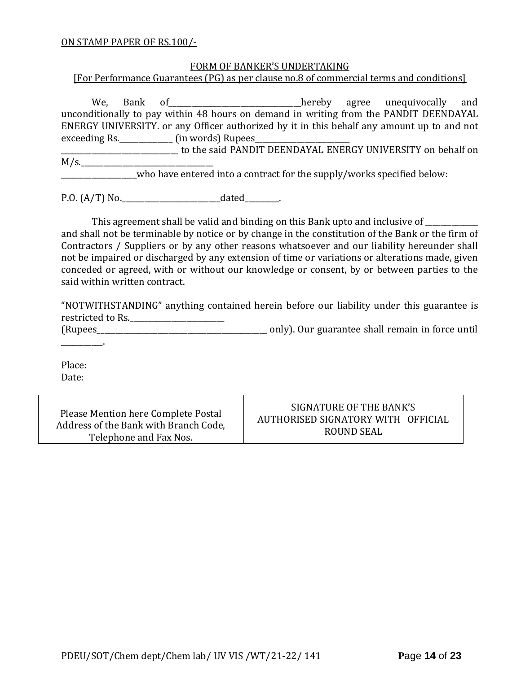#### ON STAMP PAPER OF RS.100/-

#### FORM OF BANKER'S UNDERTAKING

[For Performance Guarantees (PG) as per clause no.8 of commercial terms and conditions]

We, Bank of\_\_\_\_\_\_\_\_\_\_\_\_\_\_\_\_\_\_\_\_\_\_\_\_hereby agree unequivocally and unconditionally to pay within 48 hours on demand in writing from the PANDIT DEENDAYAL ENERGY UNIVERSITY. or any Officer authorized by it in this behalf any amount up to and not exceeding Rs.\_\_\_\_\_\_\_\_\_\_\_\_\_\_\_\_\_\_\_ (in words) Rupees\_

\_\_\_\_\_\_\_\_\_\_\_\_\_\_\_\_\_\_\_\_\_\_\_\_\_\_\_\_\_\_\_ to the said PANDIT DEENDAYAL ENERGY UNIVERSITY on behalf on  $M/s$ .

who have entered into a contract for the supply/works specified below:

P.O. (A/T) No.\_\_\_\_\_\_\_\_\_\_\_\_\_\_\_\_\_\_\_\_\_\_\_\_\_\_dated\_\_\_\_\_\_\_\_\_.

This agreement shall be valid and binding on this Bank upto and inclusive of \_\_\_\_\_\_\_\_\_\_

and shall not be terminable by notice or by change in the constitution of the Bank or the firm of Contractors / Suppliers or by any other reasons whatsoever and our liability hereunder shall not be impaired or discharged by any extension of time or variations or alterations made, given conceded or agreed, with or without our knowledge or consent, by or between parties to the said within written contract.

"NOTWITHSTANDING" anything contained herein before our liability under this guarantee is restricted to Rs.\_\_\_\_\_\_\_\_\_\_\_\_\_\_\_\_\_\_\_\_\_\_\_\_\_

(Rupees\_\_\_\_\_\_\_\_\_\_\_\_\_\_\_\_\_\_\_\_\_\_\_\_\_\_\_\_\_\_\_\_\_\_\_\_\_\_\_\_\_\_\_\_\_ only). Our guarantee shall remain in force until

Place: Date:

\_\_\_\_\_\_\_\_\_\_\_.

Please Mention here Complete Postal Address of the Bank with Branch Code, Telephone and Fax Nos.

SIGNATURE OF THE BANK'S AUTHORISED SIGNATORY WITH OFFICIAL ROUND SEAL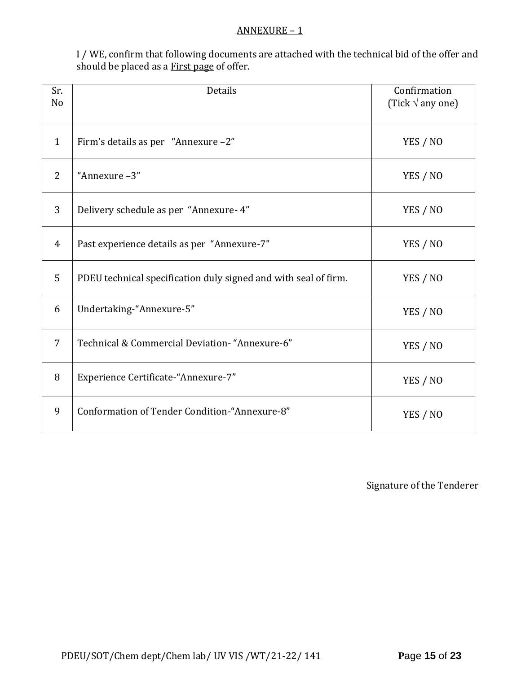#### ANNEXURE – 1

I / WE, confirm that following documents are attached with the technical bid of the offer and should be placed as a **First page** of offer.

| Sr.<br>N <sub>o</sub> | <b>Details</b>                                                  | Confirmation<br>(Tick $\sqrt{ }$ any one) |
|-----------------------|-----------------------------------------------------------------|-------------------------------------------|
| $\mathbf{1}$          | Firm's details as per "Annexure -2"                             | YES / NO                                  |
| $\overline{2}$        | "Annexure-3"                                                    | YES / NO                                  |
| 3                     | Delivery schedule as per "Annexure- 4"                          | YES / NO                                  |
| $\overline{4}$        | Past experience details as per "Annexure-7"                     | YES / NO                                  |
| 5                     | PDEU technical specification duly signed and with seal of firm. | YES / NO                                  |
| 6                     | Undertaking-"Annexure-5"                                        | YES / NO                                  |
| $\overline{7}$        | Technical & Commercial Deviation- "Annexure-6"                  | YES / NO                                  |
| 8                     | Experience Certificate-"Annexure-7"                             | YES / NO                                  |
| 9                     | Conformation of Tender Condition-"Annexure-8"                   | YES / NO                                  |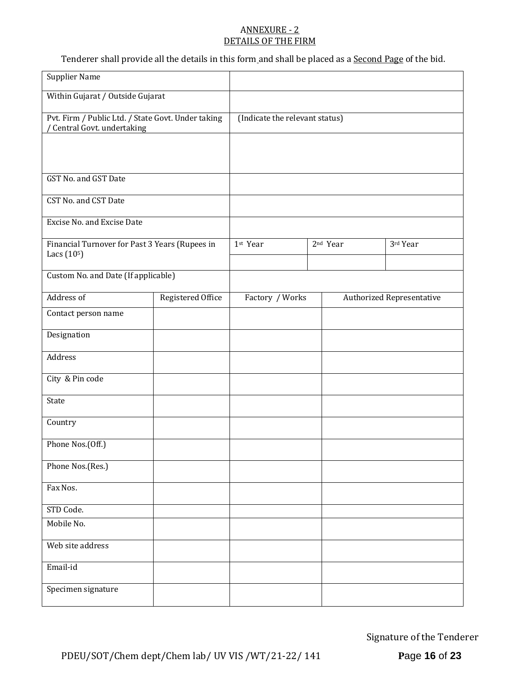#### ANNEXURE - 2 DETAILS OF THE FIRM

Tenderer shall provide all the details in this form and shall be placed as a Second Page of the bid.

| <b>Supplier Name</b>                                                            |                   |                                |  |                      |                                  |
|---------------------------------------------------------------------------------|-------------------|--------------------------------|--|----------------------|----------------------------------|
| Within Gujarat / Outside Gujarat                                                |                   |                                |  |                      |                                  |
| Pvt. Firm / Public Ltd. / State Govt. Under taking<br>Central Govt. undertaking |                   | (Indicate the relevant status) |  |                      |                                  |
|                                                                                 |                   |                                |  |                      |                                  |
| GST No. and GST Date                                                            |                   |                                |  |                      |                                  |
| <b>CST No. and CST Date</b>                                                     |                   |                                |  |                      |                                  |
| Excise No. and Excise Date                                                      |                   |                                |  |                      |                                  |
| Financial Turnover for Past 3 Years (Rupees in<br>Lacs (10 <sup>5</sup> )       |                   | 1st Year                       |  | 2 <sup>nd</sup> Year | 3rd Year                         |
| Custom No. and Date (If applicable)                                             |                   |                                |  |                      |                                  |
|                                                                                 |                   |                                |  |                      |                                  |
| Address of                                                                      | Registered Office | Factory / Works                |  |                      | <b>Authorized Representative</b> |
| Contact person name                                                             |                   |                                |  |                      |                                  |
| Designation                                                                     |                   |                                |  |                      |                                  |
| Address                                                                         |                   |                                |  |                      |                                  |
| City & Pin code                                                                 |                   |                                |  |                      |                                  |
| State                                                                           |                   |                                |  |                      |                                  |
| Country                                                                         |                   |                                |  |                      |                                  |
| Phone Nos.(Off.)                                                                |                   |                                |  |                      |                                  |
| Phone Nos.(Res.)                                                                |                   |                                |  |                      |                                  |
| Fax Nos.                                                                        |                   |                                |  |                      |                                  |
| STD Code.                                                                       |                   |                                |  |                      |                                  |
| Mobile No.                                                                      |                   |                                |  |                      |                                  |
| Web site address                                                                |                   |                                |  |                      |                                  |
| Email-id                                                                        |                   |                                |  |                      |                                  |
| Specimen signature                                                              |                   |                                |  |                      |                                  |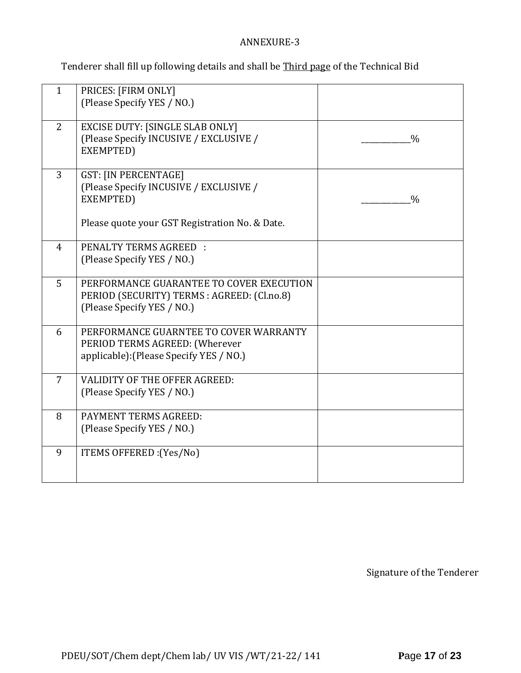# ANNEXURE-3

Tenderer shall fill up following details and shall be Third page of the Technical Bid

| $\mathbf{1}$   | PRICES: [FIRM ONLY]<br>(Please Specify YES / NO.)                                                                                    |               |
|----------------|--------------------------------------------------------------------------------------------------------------------------------------|---------------|
| 2              | <b>EXCISE DUTY: [SINGLE SLAB ONLY]</b><br>(Please Specify INCUSIVE / EXCLUSIVE /<br>EXEMPTED)                                        | $\frac{0}{0}$ |
| $\overline{3}$ | <b>GST: [IN PERCENTAGE]</b><br>(Please Specify INCUSIVE / EXCLUSIVE /<br>EXEMPTED)<br>Please quote your GST Registration No. & Date. | $\frac{0}{0}$ |
| $\overline{4}$ | <b>PENALTY TERMS AGREED:</b><br>(Please Specify YES / NO.)                                                                           |               |
| 5              | PERFORMANCE GUARANTEE TO COVER EXECUTION<br>PERIOD (SECURITY) TERMS : AGREED: (Cl.no.8)<br>(Please Specify YES / NO.)                |               |
| 6              | PERFORMANCE GUARNTEE TO COVER WARRANTY<br>PERIOD TERMS AGREED: (Wherever<br>applicable): (Please Specify YES / NO.)                  |               |
| $\overline{7}$ | <b>VALIDITY OF THE OFFER AGREED:</b><br>(Please Specify YES / NO.)                                                                   |               |
| 8              | PAYMENT TERMS AGREED:<br>(Please Specify YES / NO.)                                                                                  |               |
| 9              | ITEMS OFFERED : (Yes/No)                                                                                                             |               |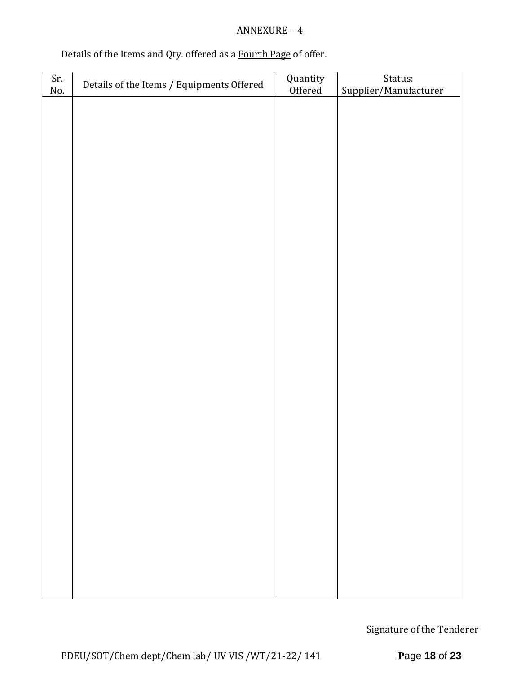# ANNEXURE – 4

# Details of the Items and Qty. offered as a Fourth Page of offer.

| Sr. | Details of the Items / Equipments Offered | Quantity<br>Offered | Status:               |
|-----|-------------------------------------------|---------------------|-----------------------|
| No. |                                           |                     | Supplier/Manufacturer |
|     |                                           |                     |                       |
|     |                                           |                     |                       |
|     |                                           |                     |                       |
|     |                                           |                     |                       |
|     |                                           |                     |                       |
|     |                                           |                     |                       |
|     |                                           |                     |                       |
|     |                                           |                     |                       |
|     |                                           |                     |                       |
|     |                                           |                     |                       |
|     |                                           |                     |                       |
|     |                                           |                     |                       |
|     |                                           |                     |                       |
|     |                                           |                     |                       |
|     |                                           |                     |                       |
|     |                                           |                     |                       |
|     |                                           |                     |                       |
|     |                                           |                     |                       |
|     |                                           |                     |                       |
|     |                                           |                     |                       |
|     |                                           |                     |                       |
|     |                                           |                     |                       |
|     |                                           |                     |                       |
|     |                                           |                     |                       |
|     |                                           |                     |                       |
|     |                                           |                     |                       |
|     |                                           |                     |                       |
|     |                                           |                     |                       |
|     |                                           |                     |                       |
|     |                                           |                     |                       |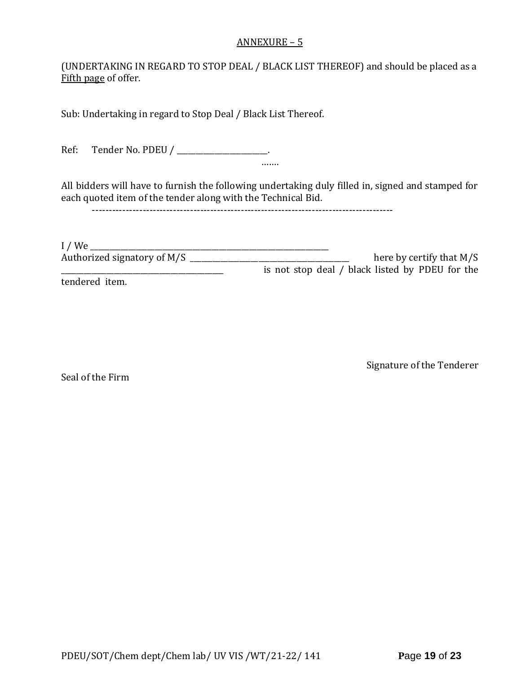#### ANNEXURE – 5

(UNDERTAKING IN REGARD TO STOP DEAL / BLACK LIST THEREOF) and should be placed as a Fifth page of offer.

Sub: Undertaking in regard to Stop Deal / Black List Thereof.

Ref: Tender No. PDEU / \_\_\_\_\_\_\_\_\_\_\_\_\_\_\_\_\_\_\_\_.

All bidders will have to furnish the following undertaking duly filled in, signed and stamped for each quoted item of the tender along with the Technical Bid.

…….

-----------------------------------------------------------------------------------------

| $I$ / We                    |                                                 |
|-----------------------------|-------------------------------------------------|
| Authorized signatory of M/S | here by certify that $M/S$                      |
|                             | is not stop deal / black listed by PDEU for the |
| tendered item.              |                                                 |

Seal of the Firm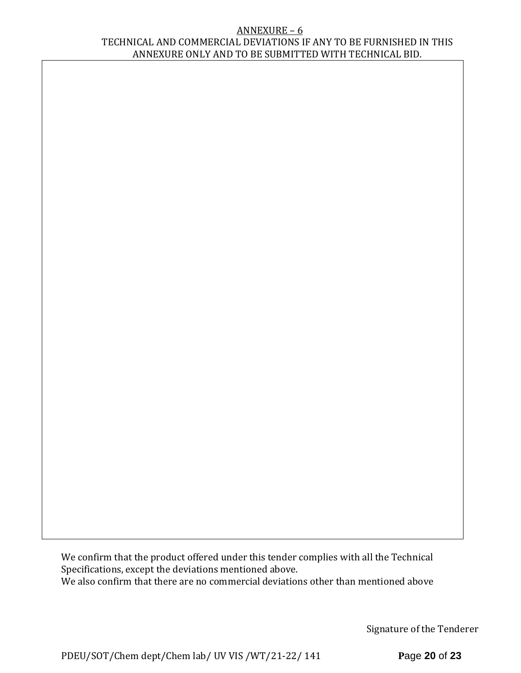#### ANNEXURE – 6 TECHNICAL AND COMMERCIAL DEVIATIONS IF ANY TO BE FURNISHED IN THIS ANNEXURE ONLY AND TO BE SUBMITTED WITH TECHNICAL BID.

We confirm that the product offered under this tender complies with all the Technical Specifications, except the deviations mentioned above. We also confirm that there are no commercial deviations other than mentioned above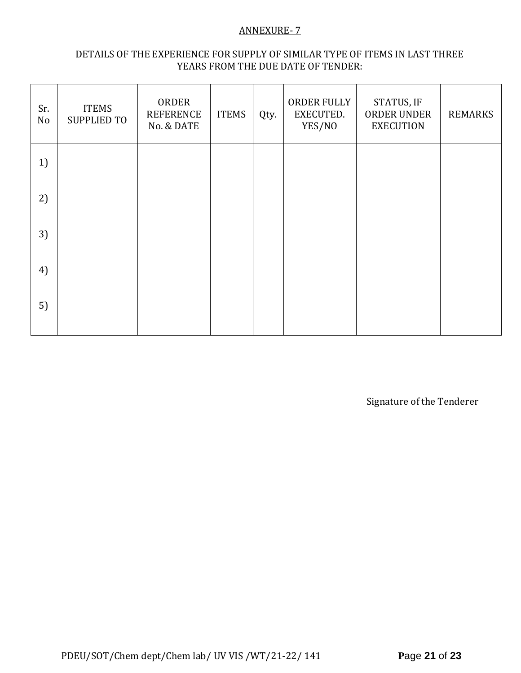#### ANNEXURE- 7

# DETAILS OF THE EXPERIENCE FOR SUPPLY OF SIMILAR TYPE OF ITEMS IN LAST THREE YEARS FROM THE DUE DATE OF TENDER:

| Sr.<br>No | <b>ITEMS</b><br><b>SUPPLIED TO</b> | ORDER<br><b>REFERENCE</b><br>No. & DATE | <b>ITEMS</b> | Qty. | ORDER FULLY<br>EXECUTED.<br>YES/NO | STATUS, IF<br>ORDER UNDER<br><b>EXECUTION</b> | <b>REMARKS</b> |
|-----------|------------------------------------|-----------------------------------------|--------------|------|------------------------------------|-----------------------------------------------|----------------|
| 1)        |                                    |                                         |              |      |                                    |                                               |                |
| 2)        |                                    |                                         |              |      |                                    |                                               |                |
| 3)        |                                    |                                         |              |      |                                    |                                               |                |
| 4)        |                                    |                                         |              |      |                                    |                                               |                |
| 5)        |                                    |                                         |              |      |                                    |                                               |                |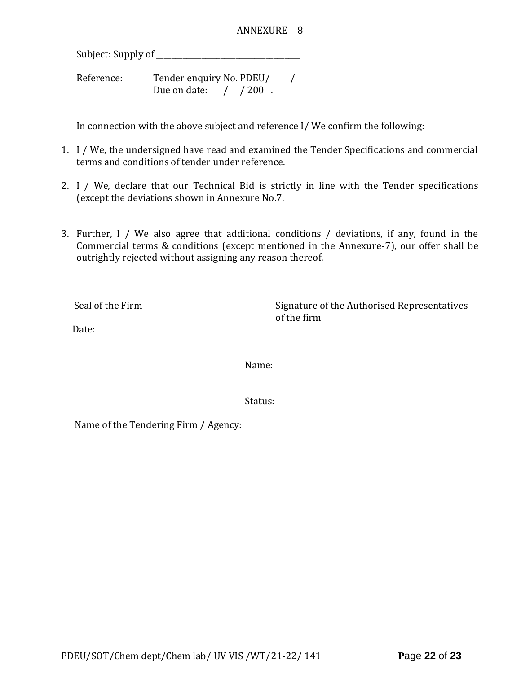#### ANNEXURE – 8

Subject: Supply of \_\_\_\_\_\_\_\_\_\_\_\_\_\_\_\_\_\_\_\_\_\_\_\_\_\_\_\_\_\_\_\_\_\_\_\_\_\_

Reference: Tender enquiry No. PDEU/ / Due on date: / / 200 .

In connection with the above subject and reference I/ We confirm the following:

- 1. I / We, the undersigned have read and examined the Tender Specifications and commercial terms and conditions of tender under reference.
- 2. I / We, declare that our Technical Bid is strictly in line with the Tender specifications (except the deviations shown in Annexure No.7.
- 3. Further, I / We also agree that additional conditions / deviations, if any, found in the Commercial terms & conditions (except mentioned in the Annexure-7), our offer shall be outrightly rejected without assigning any reason thereof.

Seal of the Firm Signature of the Authorised Representatives of the firm

Date:

Name:

Status:

Name of the Tendering Firm / Agency: